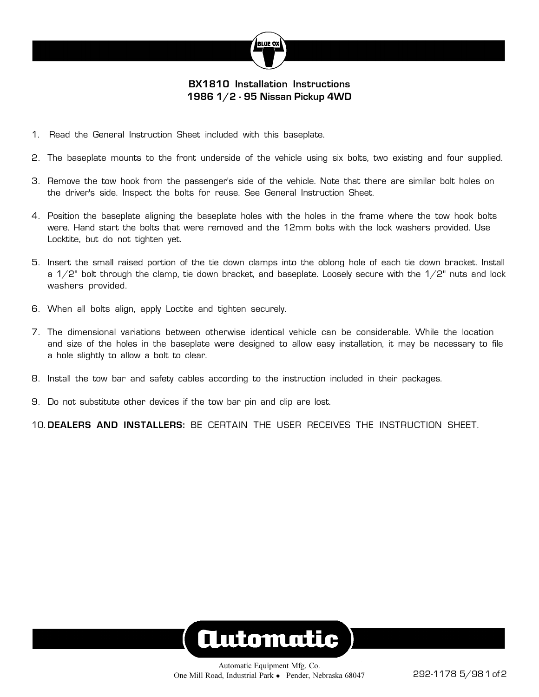

## **BX1810 Installation Instructions 1986 1/2 - 95 Nissan Pickup 4WD**

- 1. Read the General Instruction Sheet included with this baseplate.
- 2. The baseplate mounts to the front underside of the vehicle using six bolts, two existing and four supplied.
- 3. Remove the tow hook from the passenger's side of the vehicle. Note that there are similar bolt holes on the driver's side. Inspect the bolts for reuse. See General Instruction Sheet.
- 4. Position the baseplate aligning the baseplate holes with the holes in the frame where the tow hook bolts were. Hand start the bolts that were removed and the 12mm bolts with the lock washers provided. Use Locktite, but do not tighten yet.
- 5. Insert the small raised portion of the tie down clamps into the oblong hole of each tie down bracket. Install a  $1/2$ " bolt through the clamp, tie down bracket, and baseplate. Loosely secure with the  $1/2$ " nuts and lock washers provided.
- 6. When all bolts align, apply Loctite and tighten securely.
- 7. The dimensional variations between otherwise identical vehicle can be considerable. While the location and size of the holes in the baseplate were designed to allow easy installation, it may be necessary to file a hole slightly to allow a bolt to clear.
- 8. Install the tow bar and safety cables according to the instruction included in their packages.
- 9. Do not substitute other devices if the tow bar pin and clip are lost.

10. **DEALERS AND INSTALLERS:** BE CERTAIN THE USER RECEIVES THE INSTRUCTION SHEET.

## **Automatic**